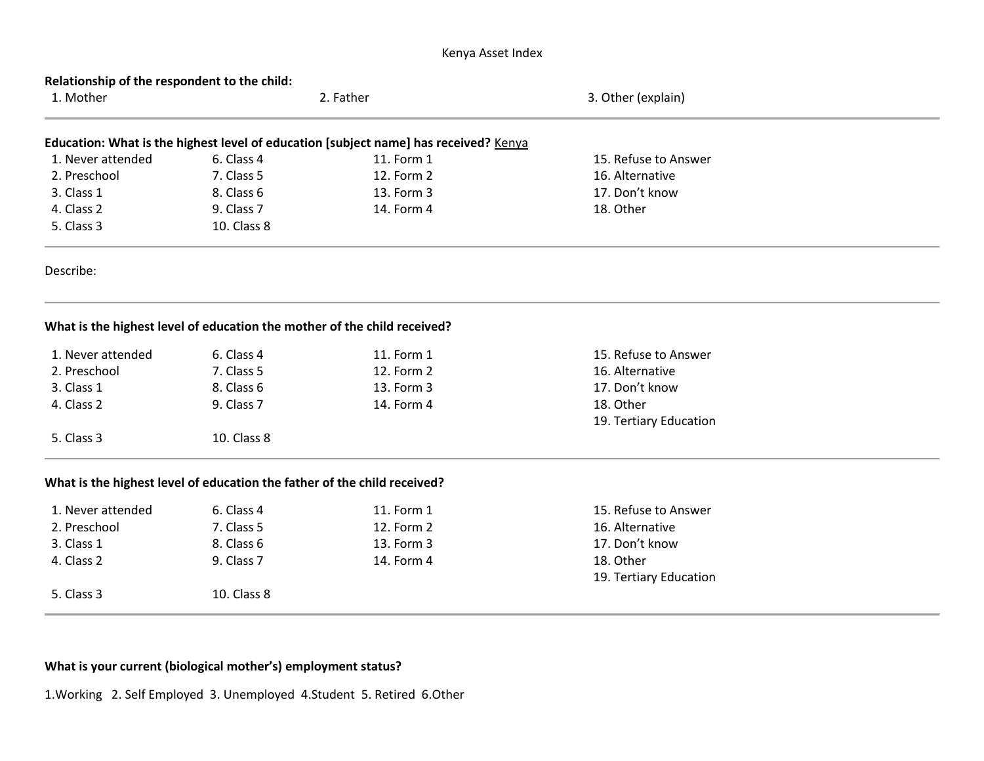## Kenya Asset Index

| Relationship of the respondent to the child: |                                                                          |                                                                                      |                        |  |  |  |  |
|----------------------------------------------|--------------------------------------------------------------------------|--------------------------------------------------------------------------------------|------------------------|--|--|--|--|
| 1. Mother                                    | 2. Father                                                                |                                                                                      | 3. Other (explain)     |  |  |  |  |
|                                              |                                                                          | Education: What is the highest level of education [subject name] has received? Kenya |                        |  |  |  |  |
| 1. Never attended                            | 6. Class 4                                                               | 11. Form 1                                                                           | 15. Refuse to Answer   |  |  |  |  |
| 2. Preschool                                 | 7. Class 5                                                               | 12. Form 2                                                                           | 16. Alternative        |  |  |  |  |
| 3. Class 1                                   | 8. Class 6                                                               | 13. Form 3                                                                           | 17. Don't know         |  |  |  |  |
| 4. Class 2                                   | 9. Class 7                                                               | 14. Form 4                                                                           | 18. Other              |  |  |  |  |
| 5. Class 3                                   | 10. Class 8                                                              |                                                                                      |                        |  |  |  |  |
| Describe:                                    |                                                                          |                                                                                      |                        |  |  |  |  |
|                                              | What is the highest level of education the mother of the child received? |                                                                                      |                        |  |  |  |  |
| 1. Never attended                            | 6. Class 4                                                               | 11. Form 1                                                                           | 15. Refuse to Answer   |  |  |  |  |
| 2. Preschool                                 | 7. Class 5                                                               | 12. Form 2                                                                           | 16. Alternative        |  |  |  |  |
| 3. Class 1                                   | 8. Class 6                                                               | 13. Form 3                                                                           | 17. Don't know         |  |  |  |  |
| 4. Class 2                                   | 9. Class 7                                                               | 14. Form 4                                                                           | 18. Other              |  |  |  |  |
|                                              |                                                                          |                                                                                      | 19. Tertiary Education |  |  |  |  |
| 5. Class 3                                   | 10. Class 8                                                              |                                                                                      |                        |  |  |  |  |
|                                              | What is the highest level of education the father of the child received? |                                                                                      |                        |  |  |  |  |
| 1. Never attended                            | 6. Class 4                                                               | 11. Form 1                                                                           | 15. Refuse to Answer   |  |  |  |  |
| 2. Preschool                                 | 7. Class 5                                                               | 12. Form 2                                                                           | 16. Alternative        |  |  |  |  |
| 3. Class 1                                   | 8. Class 6                                                               | 13. Form 3                                                                           | 17. Don't know         |  |  |  |  |
| 4. Class 2                                   | 9. Class 7                                                               | 14. Form 4                                                                           | 18. Other              |  |  |  |  |
|                                              |                                                                          |                                                                                      | 19. Tertiary Education |  |  |  |  |
| 5. Class 3                                   | 10. Class 8                                                              |                                                                                      |                        |  |  |  |  |
|                                              |                                                                          |                                                                                      |                        |  |  |  |  |

# **What is your current (biological mother's) employment status?**

1.Working 2. Self Employed 3. Unemployed 4.Student 5. Retired 6.Other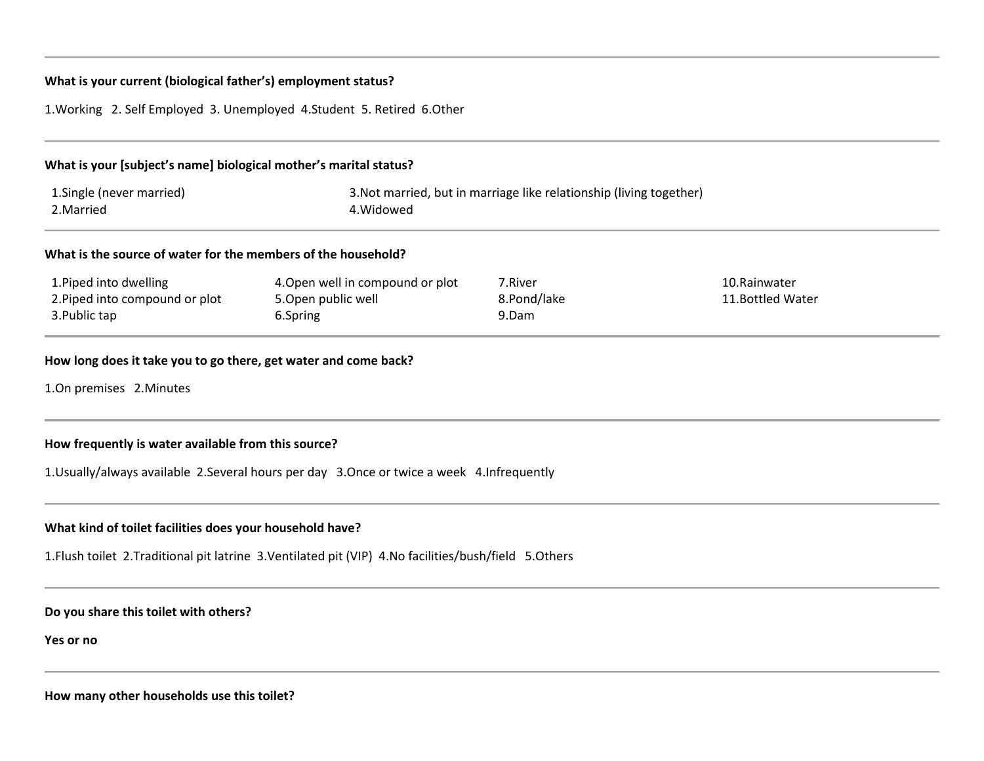#### **What is your current (biological father's) employment status?**

1.Working 2. Self Employed 3. Unemployed 4.Student 5. Retired 6.Other

# **What is your [subject's name] biological mother's marital status?** 1.Single (never married) 3.Not married, but in marriage like relationship (living together) 2. Married 2. Married 2. Married 2. Married 2. Married 2. Married 2. Married 2. Married 2. Married 2. Married 2. Married 2. Married 2. Married 2. Married 2. Married 2. Married 2. Married 2. Married 2. Married 2. Married 2. **What is the source of water for the members of the household?**

| 1. Piped into dwelling         | 4. Open well in compound or plot | 7.River     | 10.Rainwater      |
|--------------------------------|----------------------------------|-------------|-------------------|
| 2. Piped into compound or plot | 5.0pen public well               | 8.Pond/lake | 11. Bottled Water |
| 3. Public tap                  | o.Spring                         | 9.Dam       |                   |

## **How long does it take you to go there, get water and come back?**

1.On premises 2.Minutes

#### **How frequently is water available from this source?**

1.Usually/always available 2.Several hours per day 3.Once or twice a week 4.Infrequently

## **What kind of toilet facilities does your household have?**

1.Flush toilet 2.Traditional pit latrine 3.Ventilated pit (VIP) 4.No facilities/bush/field 5.Others

**Do you share this toilet with others?**

**Yes or no**

**How many other households use this toilet?**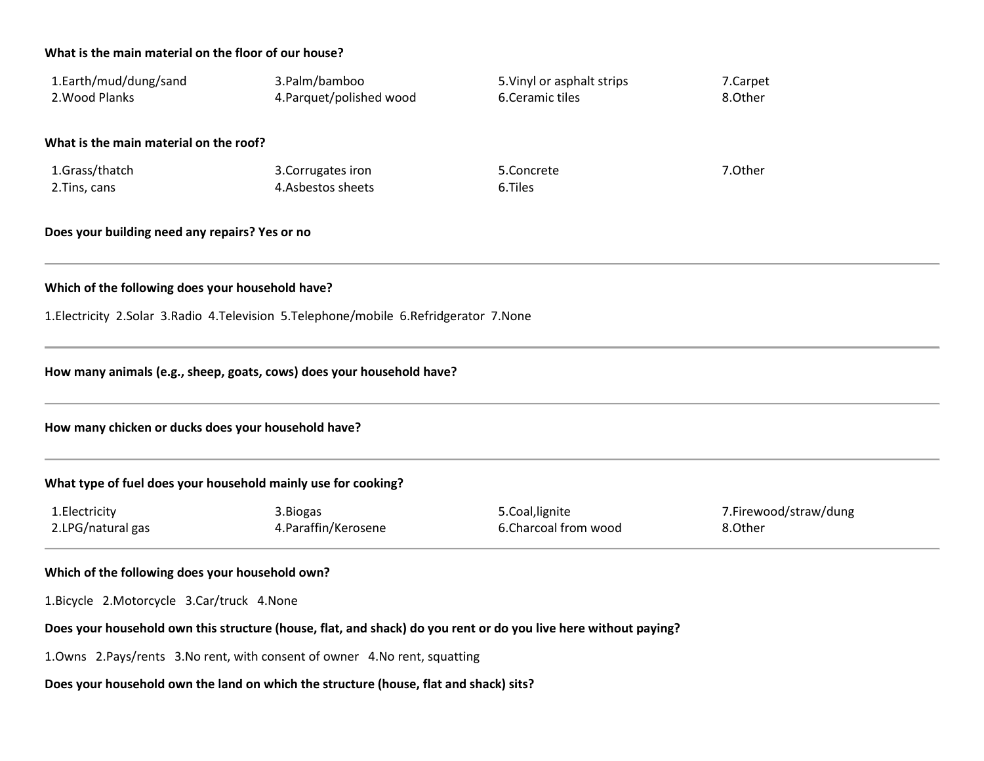## **What is the main material on the floor of our house?**

| 1.Earth/mud/dung/sand<br>2. Wood Planks                                                     | 3.Palm/bamboo<br>4. Parquet/polished wood                                                                       | 5. Vinyl or asphalt strips<br>6.Ceramic tiles | 7.Carpet<br>8.Other              |  |  |  |  |  |
|---------------------------------------------------------------------------------------------|-----------------------------------------------------------------------------------------------------------------|-----------------------------------------------|----------------------------------|--|--|--|--|--|
| What is the main material on the roof?                                                      |                                                                                                                 |                                               |                                  |  |  |  |  |  |
| 1.Grass/thatch<br>2. Tins, cans                                                             | 3. Corrugates iron<br>4.Asbestos sheets                                                                         | 5.Concrete<br>6.Tiles                         | 7.Other                          |  |  |  |  |  |
| Does your building need any repairs? Yes or no                                              |                                                                                                                 |                                               |                                  |  |  |  |  |  |
| Which of the following does your household have?                                            |                                                                                                                 |                                               |                                  |  |  |  |  |  |
| 1. Electricity 2. Solar 3. Radio 4. Television 5. Telephone/mobile 6. Refridgerator 7. None |                                                                                                                 |                                               |                                  |  |  |  |  |  |
| How many animals (e.g., sheep, goats, cows) does your household have?                       |                                                                                                                 |                                               |                                  |  |  |  |  |  |
| How many chicken or ducks does your household have?                                         |                                                                                                                 |                                               |                                  |  |  |  |  |  |
| What type of fuel does your household mainly use for cooking?                               |                                                                                                                 |                                               |                                  |  |  |  |  |  |
| 1. Electricity<br>2.LPG/natural gas                                                         | 3. Biogas<br>4. Paraffin/Kerosene                                                                               | 5.Coal, lignite<br>6.Charcoal from wood       | 7.Firewood/straw/dung<br>8.Other |  |  |  |  |  |
| Which of the following does your household own?                                             |                                                                                                                 |                                               |                                  |  |  |  |  |  |
| 1.Bicycle 2.Motorcycle 3.Car/truck 4.None                                                   |                                                                                                                 |                                               |                                  |  |  |  |  |  |
|                                                                                             | Does your household own this structure (house, flat, and shack) do you rent or do you live here without paying? |                                               |                                  |  |  |  |  |  |

1.Owns 2.Pays/rents 3.No rent, with consent of owner 4.No rent, squatting

# **Does your household own the land on which the structure (house, flat and shack) sits?**